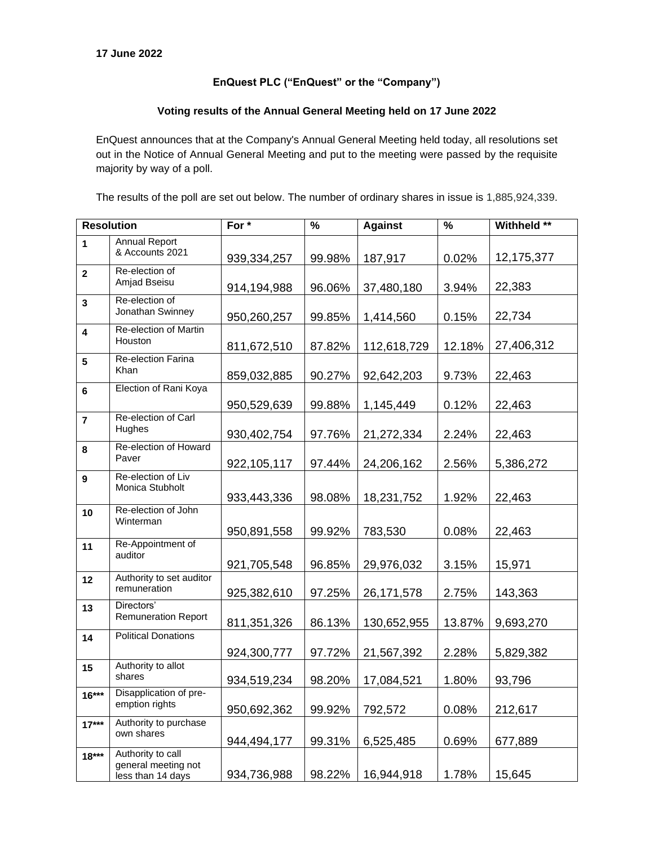## **EnQuest PLC ("EnQuest" or the "Company")**

## **Voting results of the Annual General Meeting held on 17 June 2022**

EnQuest announces that at the Company's Annual General Meeting held today, all resolutions set out in the Notice of Annual General Meeting and put to the meeting were passed by the requisite majority by way of a poll.

The results of the poll are set out below. The number of ordinary shares in issue is 1,885,924,339.

| <b>Resolution</b>       |                                                               | For *         | $\%$   | <b>Against</b> | $\%$   | Withheld ** |
|-------------------------|---------------------------------------------------------------|---------------|--------|----------------|--------|-------------|
| $\mathbf{1}$            | <b>Annual Report</b><br>& Accounts 2021                       | 939, 334, 257 | 99.98% | 187,917        | 0.02%  | 12,175,377  |
| $\mathbf{2}$            | Re-election of<br>Amjad Bseisu                                | 914,194,988   | 96.06% | 37,480,180     | 3.94%  | 22,383      |
| $\mathbf{3}$            | Re-election of<br>Jonathan Swinney                            | 950,260,257   | 99.85% | 1,414,560      | 0.15%  | 22,734      |
| $\overline{\mathbf{4}}$ | Re-election of Martin<br>Houston                              | 811,672,510   | 87.82% | 112,618,729    | 12.18% | 27,406,312  |
| 5                       | <b>Re-election Farina</b><br>Khan                             | 859,032,885   | 90.27% | 92,642,203     | 9.73%  | 22,463      |
| $6\phantom{1}$          | Election of Rani Koya                                         | 950,529,639   | 99.88% | 1,145,449      | 0.12%  | 22,463      |
| $\overline{\mathbf{r}}$ | Re-election of Carl<br>Hughes                                 | 930,402,754   | 97.76% | 21,272,334     | 2.24%  | 22,463      |
| 8                       | Re-election of Howard<br>Paver                                | 922,105,117   | 97.44% | 24,206,162     | 2.56%  | 5,386,272   |
| $\mathbf{9}$            | Re-election of Liv<br>Monica Stubholt                         | 933,443,336   | 98.08% | 18,231,752     | 1.92%  | 22,463      |
| 10                      | Re-election of John<br>Winterman                              | 950,891,558   | 99.92% | 783,530        | 0.08%  | 22,463      |
| 11                      | Re-Appointment of<br>auditor                                  | 921,705,548   | 96.85% | 29,976,032     | 3.15%  | 15,971      |
| 12                      | Authority to set auditor<br>remuneration                      | 925,382,610   | 97.25% | 26, 171, 578   | 2.75%  | 143,363     |
| 13                      | Directors'<br><b>Remuneration Report</b>                      | 811,351,326   | 86.13% | 130,652,955    | 13.87% | 9,693,270   |
| 14                      | <b>Political Donations</b>                                    | 924,300,777   | 97.72% | 21,567,392     | 2.28%  | 5,829,382   |
| 15                      | Authority to allot<br>shares                                  | 934,519,234   | 98.20% | 17,084,521     | 1.80%  | 93,796      |
| $16***$                 | Disapplication of pre-<br>emption rights                      | 950,692,362   | 99.92% | 792,572        | 0.08%  | 212,617     |
| $17***$                 | Authority to purchase<br>own shares                           | 944,494,177   | 99.31% | 6,525,485      | 0.69%  | 677,889     |
| $18***$                 | Authority to call<br>general meeting not<br>less than 14 days | 934,736,988   | 98.22% | 16,944,918     | 1.78%  | 15,645      |